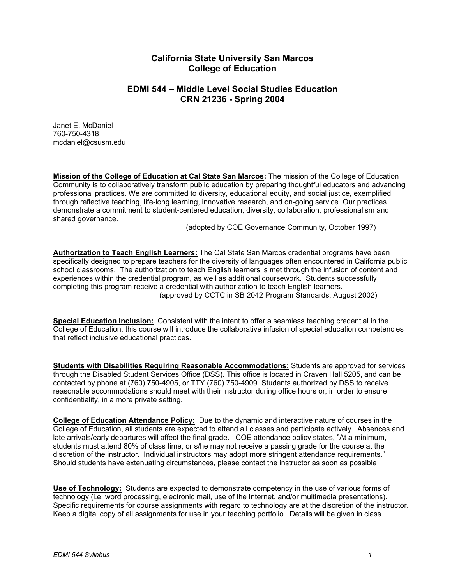# **California State University San Marcos College of Education**

# **EDMI 544 – Middle Level Social Studies Education CRN 21236 - Spring 2004**

Janet E. McDaniel 760-750-4318 mcdaniel@csusm.edu

**Mission of the College of Education at Cal State San Marcos:** The mission of the College of Education Community is to collaboratively transform public education by preparing thoughtful educators and advancing professional practices. We are committed to diversity, educational equity, and social justice, exemplified through reflective teaching, life-long learning, innovative research, and on-going service. Our practices demonstrate a commitment to student-centered education, diversity, collaboration, professionalism and shared governance.

(adopted by COE Governance Community, October 1997)

**Authorization to Teach English Learners:** The Cal State San Marcos credential programs have been specifically designed to prepare teachers for the diversity of languages often encountered in California public school classrooms. The authorization to teach English learners is met through the infusion of content and experiences within the credential program, as well as additional coursework. Students successfully completing this program receive a credential with authorization to teach English learners. (approved by CCTC in SB 2042 Program Standards, August 2002)

**Special Education Inclusion:** Consistent with the intent to offer a seamless teaching credential in the College of Education, this course will introduce the collaborative infusion of special education competencies that reflect inclusive educational practices.

**Students with Disabilities Requiring Reasonable Accommodations:** Students are approved for services through the Disabled Student Services Office (DSS). This office is located in Craven Hall 5205, and can be contacted by phone at (760) 750-4905, or TTY (760) 750-4909. Students authorized by DSS to receive reasonable accommodations should meet with their instructor during office hours or, in order to ensure confidentiality, in a more private setting.

**College of Education Attendance Policy:** Due to the dynamic and interactive nature of courses in the College of Education, all students are expected to attend all classes and participate actively. Absences and late arrivals/early departures will affect the final grade. COE attendance policy states, "At a minimum, students must attend 80% of class time, or s/he may not receive a passing grade for the course at the discretion of the instructor. Individual instructors may adopt more stringent attendance requirements." Should students have extenuating circumstances, please contact the instructor as soon as possible

**Use of Technology:** Students are expected to demonstrate competency in the use of various forms of technology (i.e. word processing, electronic mail, use of the Internet, and/or multimedia presentations). Specific requirements for course assignments with regard to technology are at the discretion of the instructor. Keep a digital copy of all assignments for use in your teaching portfolio. Details will be given in class.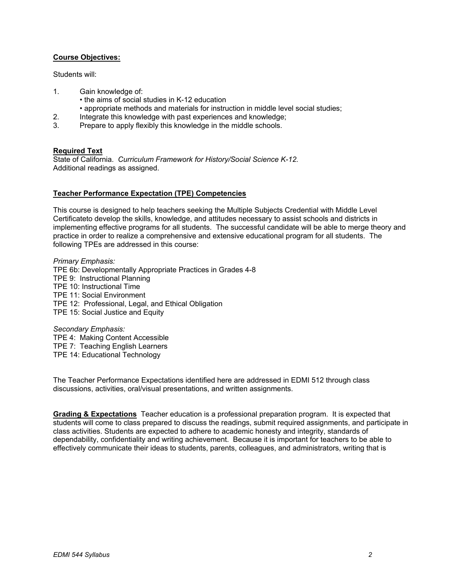## **Course Objectives:**

Students will:

- 1. Gain knowledge of:
	- the aims of social studies in K-12 education
	- appropriate methods and materials for instruction in middle level social studies;
- 2. Integrate this knowledge with past experiences and knowledge;
- 3. Prepare to apply flexibly this knowledge in the middle schools.

### **Required Text**

State of California. *Curriculum Framework for History/Social Science K-12.* Additional readings as assigned.

### **Teacher Performance Expectation (TPE) Competencies**

This course is designed to help teachers seeking the Multiple Subjects Credential with Middle Level Certificateto develop the skills, knowledge, and attitudes necessary to assist schools and districts in implementing effective programs for all students. The successful candidate will be able to merge theory and practice in order to realize a comprehensive and extensive educational program for all students. The following TPEs are addressed in this course:

*Primary Emphasis:*  TPE 6b: Developmentally Appropriate Practices in Grades 4-8 TPE 9: Instructional Planning TPE 10: Instructional Time TPE 11: Social Environment TPE 12: Professional, Legal, and Ethical Obligation TPE 15: Social Justice and Equity

*Secondary Emphasis:*  TPE 4: Making Content Accessible TPE 7: Teaching English Learners TPE 14: Educational Technology

The Teacher Performance Expectations identified here are addressed in EDMI 512 through class discussions, activities, oral/visual presentations, and written assignments.

**Grading & Expectations** Teacher education is a professional preparation program. It is expected that students will come to class prepared to discuss the readings, submit required assignments, and participate in class activities. Students are expected to adhere to academic honesty and integrity, standards of dependability, confidentiality and writing achievement. Because it is important for teachers to be able to effectively communicate their ideas to students, parents, colleagues, and administrators, writing that is